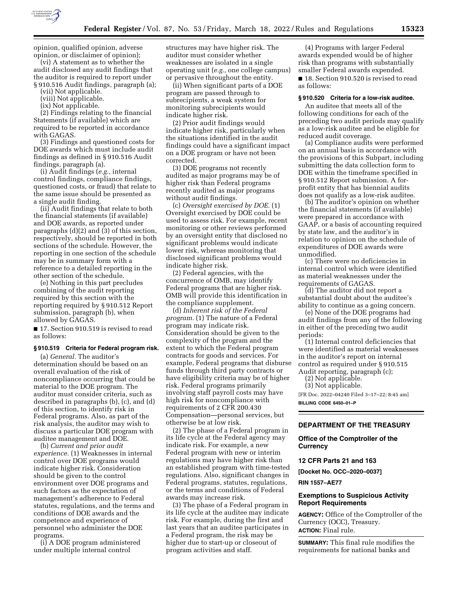

opinion, qualified opinion, adverse opinion, or disclaimer of opinion);

(vi) A statement as to whether the audit disclosed any audit findings that the auditor is required to report under § 910.516 Audit findings, paragraph (a);

(vii) Not applicable.

(viii) Not applicable.

(ix) Not applicable.

(2) Findings relating to the financial Statements (if available) which are required to be reported in accordance with GAGAS.

(3) Findings and questioned costs for DOE awards which must include audit findings as defined in § 910.516 Audit findings, paragraph (a).

(i) Audit findings (*e.g.,* internal control findings, compliance findings, questioned costs, or fraud) that relate to the same issue should be presented as a single audit finding.

(ii) Audit findings that relate to both the financial statements (if available) and DOE awards, as reported under paragraphs (d)(2) and (3) of this section, respectively, should be reported in both sections of the schedule. However, the reporting in one section of the schedule may be in summary form with a reference to a detailed reporting in the other section of the schedule.

(e) Nothing in this part precludes combining of the audit reporting required by this section with the reporting required by § 910.512 Report submission, paragraph (b), when allowed by GAGAS.

■ 17. Section 910.519 is revised to read as follows:

#### **§ 910.519 Criteria for Federal program risk.**

(a) *General.* The auditor's determination should be based on an overall evaluation of the risk of noncompliance occurring that could be material to the DOE program. The auditor must consider criteria, such as described in paragraphs (b), (c), and (d) of this section, to identify risk in Federal programs. Also, as part of the risk analysis, the auditor may wish to discuss a particular DOE program with auditee management and DOE.

(b) *Current and prior audit experience.* (1) Weaknesses in internal control over DOE programs would indicate higher risk. Consideration should be given to the control environment over DOE programs and such factors as the expectation of management's adherence to Federal statutes, regulations, and the terms and conditions of DOE awards and the competence and experience of personnel who administer the DOE programs.

(i) A DOE program administered under multiple internal control

structures may have higher risk. The auditor must consider whether weaknesses are isolated in a single operating unit (*e.g.,* one college campus) or pervasive throughout the entity.

(ii) When significant parts of a DOE program are passed through to subrecipients, a weak system for monitoring subrecipients would indicate higher risk.

(2) Prior audit findings would indicate higher risk, particularly when the situations identified in the audit findings could have a significant impact on a DOE program or have not been corrected.

(3) DOE programs not recently audited as major programs may be of higher risk than Federal programs recently audited as major programs without audit findings.

(c) *Oversight exercised by DOE.* (1) Oversight exercised by DOE could be used to assess risk. For example, recent monitoring or other reviews performed by an oversight entity that disclosed no significant problems would indicate lower risk, whereas monitoring that disclosed significant problems would indicate higher risk.

(2) Federal agencies, with the concurrence of OMB, may identify Federal programs that are higher risk. OMB will provide this identification in the compliance supplement.

(d) *Inherent risk of the Federal program.* (1) The nature of a Federal program may indicate risk. Consideration should be given to the complexity of the program and the extent to which the Federal program contracts for goods and services. For example, Federal programs that disburse funds through third party contracts or have eligibility criteria may be of higher risk. Federal programs primarily involving staff payroll costs may have high risk for noncompliance with requirements of 2 CFR 200.430 Compensation—personal services, but otherwise be at low risk.

(2) The phase of a Federal program in its life cycle at the Federal agency may indicate risk. For example, a new Federal program with new or interim regulations may have higher risk than an established program with time-tested regulations. Also, significant changes in Federal programs, statutes, regulations, or the terms and conditions of Federal awards may increase risk.

(3) The phase of a Federal program in its life cycle at the auditee may indicate risk. For example, during the first and last years that an auditee participates in a Federal program, the risk may be higher due to start-up or closeout of program activities and staff.

(4) Programs with larger Federal awards expended would be of higher risk than programs with substantially smaller Federal awards expended.

■ 18. Section 910.520 is revised to read as follows:

#### **§ 910.520 Criteria for a low-risk auditee.**

An auditee that meets all of the following conditions for each of the preceding two audit periods may qualify as a low-risk auditee and be eligible for reduced audit coverage.

(a) Compliance audits were performed on an annual basis in accordance with the provisions of this Subpart, including submitting the data collection form to DOE within the timeframe specified in § 910.512 Report submission. A forprofit entity that has biennial audits does not qualify as a low-risk auditee.

(b) The auditor's opinion on whether the financial statements (if available) were prepared in accordance with GAAP, or a basis of accounting required by state law, and the auditor's in relation to opinion on the schedule of expenditures of DOE awards were unmodified.

(c) There were no deficiencies in internal control which were identified as material weaknesses under the requirements of GAGAS.

(d) The auditor did not report a substantial doubt about the auditee's ability to continue as a going concern.

(e) None of the DOE programs had audit findings from any of the following in either of the preceding two audit periods:

(1) Internal control deficiencies that were identified as material weaknesses in the auditor's report on internal control as required under § 910.515 Audit reporting, paragraph (c);

(2) Not applicable.

(3) Not applicable.

[FR Doc. 2022–04240 Filed 3–17–22; 8:45 am] **BILLING CODE 6450–01–P** 

### **DEPARTMENT OF THE TREASURY**

**Office of the Comptroller of the Currency** 

#### **12 CFR Parts 21 and 163**

**[Docket No. OCC–2020–0037]** 

**RIN 1557–AE77** 

# **Exemptions to Suspicious Activity Report Requirements**

**AGENCY:** Office of the Comptroller of the Currency (OCC), Treasury. **ACTION:** Final rule.

**SUMMARY:** This final rule modifies the requirements for national banks and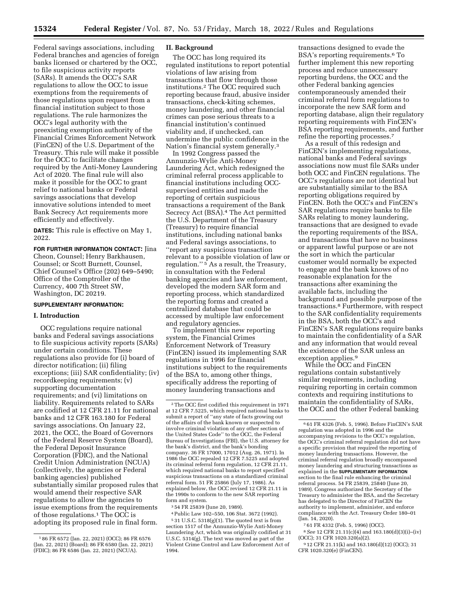Federal savings associations, including Federal branches and agencies of foreign banks licensed or chartered by the OCC, to file suspicious activity reports (SARs). It amends the OCC's SAR regulations to allow the OCC to issue exemptions from the requirements of those regulations upon request from a financial institution subject to those regulations. The rule harmonizes the OCC's legal authority with the preexisting exemption authority of the Financial Crimes Enforcement Network (FinCEN) of the U.S. Department of the Treasury. This rule will make it possible for the OCC to facilitate changes required by the Anti-Money Laundering Act of 2020. The final rule will also make it possible for the OCC to grant relief to national banks or Federal savings associations that develop innovative solutions intended to meet Bank Secrecy Act requirements more efficiently and effectively.

**DATES:** This rule is effective on May 1, 2022.

**FOR FURTHER INFORMATION CONTACT:** Jina Cheon, Counsel; Henry Barkhausen, Counsel; or Scott Burnett, Counsel, Chief Counsel's Office (202) 649–5490; Office of the Comptroller of the Currency, 400 7th Street SW, Washington, DC 20219.

# **SUPPLEMENTARY INFORMATION:**

# **I. Introduction**

OCC regulations require national banks and Federal savings associations to file suspicious activity reports (SARs) under certain conditions. These regulations also provide for (i) board of director notification; (ii) filing exceptions; (iii) SAR confidentiality; (iv) recordkeeping requirements; (v) supporting documentation requirements; and (vi) limitations on liability. Requirements related to SARs are codified at 12 CFR 21.11 for national banks and 12 CFR 163.180 for Federal savings associations. On January 22, 2021, the OCC, the Board of Governors of the Federal Reserve System (Board), the Federal Deposit Insurance Corporation (FDIC), and the National Credit Union Administration (NCUA) (collectively, the agencies or Federal banking agencies) published substantially similar proposed rules that would amend their respective SAR regulations to allow the agencies to issue exemptions from the requirements of those regulations.1 The OCC is adopting its proposed rule in final form.

### **II. Background**

The OCC has long required its regulated institutions to report potential violations of law arising from transactions that flow through those institutions.2 The OCC required such reporting because fraud, abusive insider transactions, check-kiting schemes, money laundering, and other financial crimes can pose serious threats to a financial institution's continued viability and, if unchecked, can undermine the public confidence in the Nation's financial system generally.3

In 1992 Congress passed the Annunzio-Wylie Anti-Money Laundering Act, which redesigned the criminal referral process applicable to financial institutions including OCCsupervised entities and made the reporting of certain suspicious transactions a requirement of the Bank Secrecy Act (BSA).4 The Act permitted the U.S. Department of the Treasury (Treasury) to require financial institutions, including national banks and Federal savings associations, to ''report any suspicious transaction relevant to a possible violation of law or regulation.'' 5 As a result, the Treasury, in consultation with the Federal banking agencies and law enforcement, developed the modern SAR form and reporting process, which standardized the reporting forms and created a centralized database that could be accessed by multiple law enforcement and regulatory agencies.

To implement this new reporting system, the Financial Crimes Enforcement Network of Treasury (FinCEN) issued its implementing SAR regulations in 1996 for financial institutions subject to the requirements of the BSA to, among other things, specifically address the reporting of money laundering transactions and

3 54 FR 25839 (June 20, 1989).

4Public Law 102–550, 106 Stat. 3672 (1992).

5 31 U.S.C. 5318(g)(1). The quoted text is from section 1517 of the Annunzio-Wylie Anti-Money Laundering Act, which was originally codified at 31 U.S.C. 5314(g). The text was moved as part of the Violent Crime Control and Law Enforcement Act of 1994.

transactions designed to evade the BSA's reporting requirements.6 To further implement this new reporting process and reduce unnecessary reporting burdens, the OCC and the other Federal banking agencies contemporaneously amended their criminal referral form regulations to incorporate the new SAR form and reporting database, align their regulatory reporting requirements with FinCEN's BSA reporting requirements, and further refine the reporting processes.7

As a result of this redesign and FinCEN's implementing regulations, national banks and Federal savings associations now must file SARs under both OCC and FinCEN regulations. The OCC's regulations are not identical but are substantially similar to the BSA reporting obligations required by FinCEN. Both the OCC's and FinCEN's SAR regulations require banks to file SARs relating to money laundering, transactions that are designed to evade the reporting requirements of the BSA, and transactions that have no business or apparent lawful purpose or are not the sort in which the particular customer would normally be expected to engage and the bank knows of no reasonable explanation for the transactions after examining the available facts, including the background and possible purpose of the transactions.8 Furthermore, with respect to the SAR confidentiality requirements in the BSA, both the OCC's and FinCEN's SAR regulations require banks to maintain the confidentiality of a SAR and any information that would reveal the existence of the SAR unless an exception applies.9

While the OCC and FinCEN regulations contain substantively similar requirements, including requiring reporting in certain common contexts and requiring institutions to maintain the confidentiality of SARs, the OCC and the other Federal banking

7 61 FR 4332 (Feb. 5, 1996) (OCC).

8*See* 12 CFR 21.11(c)(4) and 163.180(d)(3)(i)–(iv) (OCC); 31 CFR 1020.320(a)(2).

9 12 CFR 21.11(k) and 163.180(d)(12) (OCC); 31 CFR 1020.320(e) (FinCEN).

<sup>1</sup> 86 FR 6572 (Jan. 22, 2021) (OCC); 86 FR 6576 (Jan. 22, 2021) (Board); 86 FR 6580 (Jan. 22, 2021) (FDIC); 86 FR 6586 (Jan. 22, 2021) (NCUA).

<sup>2</sup>The OCC first codified this requirement in 1971 at 12 CFR 7.5225, which required national banks to submit a report of ''any state of facts growing out of the affairs of the bank known or suspected to involve criminal violation of any other section of the United States Code" to the OCC, the Federal Bureau of Investigations (FBI), the U.S. attorney for the bank's district, and the bank's bonding company. 36 FR 17000, 17012 (Aug. 26, 1971). In 1986 the OCC repealed 12 CFR 7.5225 and adopted its criminal referral form regulation, 12 CFR 21.11, which required national banks to report specified suspicious transactions on a standardized criminal referral form. 51 FR 25866 (July 17, 1986). As explained below, the OCC revised 12 CFR 21.11 in the 1990s to conform to the new SAR reporting form and system.

<sup>6</sup> 61 FR 4326 (Feb. 5, 1996). Before FinCEN's SAR regulation was adopted in 1996 and the accompanying revisions to the OCC's regulation, the OCC's criminal referral regulation did not have a specific provision that required the reporting of money laundering transactions. However, the criminal referral regulation broadly encompassed money laundering and structuring transactions as explained in the **SUPPLEMENTARY INFORMATION** section to the final rule enhancing the criminal referral process. 54 FR 25839, 25840 (June 20, 1989). Congress authorized the Secretary of the Treasury to administer the BSA, and the Secretary has delegated to the Director of FinCEN the authority to implement, administer, and enforce compliance with the Act. Treasury Order 180–01 (Jan. 14, 2020).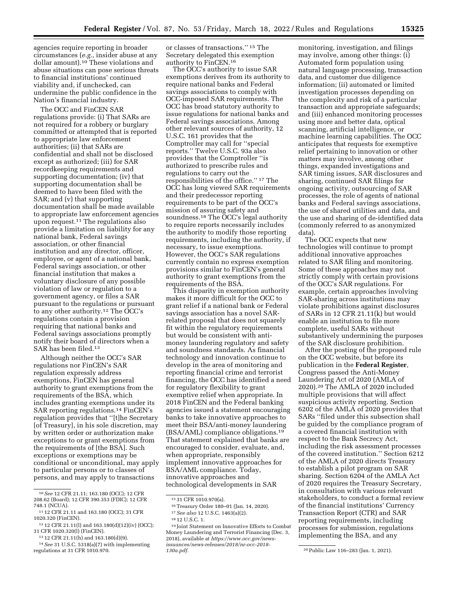agencies require reporting in broader circumstances (*e.g.,* insider abuse at any dollar amount).10 These violations and abuse situations can pose serious threats to financial institutions' continued viability and, if unchecked, can undermine the public confidence in the Nation's financial industry.

The OCC and FinCEN SAR regulations provide: (i) That SARs are not required for a robbery or burglary committed or attempted that is reported to appropriate law enforcement authorities; (ii) that SARs are confidential and shall not be disclosed except as authorized; (iii) for SAR recordkeeping requirements and supporting documentation; (iv) that supporting documentation shall be deemed to have been filed with the SAR; and (v) that supporting documentation shall be made available to appropriate law enforcement agencies upon request.11 The regulations also provide a limitation on liability for any national bank, Federal savings association, or other financial institution and any director, officer, employee, or agent of a national bank, Federal savings association, or other financial institution that makes a voluntary disclosure of any possible violation of law or regulation to a government agency, or files a SAR pursuant to the regulations or pursuant to any other authority.12 The OCC's regulations contain a provision requiring that national banks and Federal savings associations promptly notify their board of directors when a SAR has been filed.13

Although neither the OCC's SAR regulations nor FinCEN's SAR regulation expressly address exemptions, FinCEN has general authority to grant exemptions from the requirements of the BSA, which includes granting exemptions under its SAR reporting regulations.14 FinCEN's regulation provides that ''[t]he Secretary [of Treasury], in his sole discretion, may by written order or authorization make exceptions to or grant exemptions from the requirements of [the BSA]. Such exceptions or exemptions may be conditional or unconditional, may apply to particular persons or to classes of persons, and may apply to transactions

or classes of transactions.'' 15 The Secretary delegated this exemption authority to FinCEN.16

The OCC's authority to issue SAR exemptions derives from its authority to require national banks and Federal savings associations to comply with OCC-imposed SAR requirements. The OCC has broad statutory authority to issue regulations for national banks and Federal savings associations. Among other relevant sources of authority, 12 U.S.C. 161 provides that the Comptroller may call for ''special reports.'' Twelve U.S.C. 93a also provides that the Comptroller ''is authorized to prescribe rules and regulations to carry out the responsibilities of the office.'' 17 The OCC has long viewed SAR requirements and their predecessor reporting requirements to be part of the OCC's mission of assuring safety and soundness.<sup>18</sup> The OCC's legal authority to require reports necessarily includes the authority to modify those reporting requirements, including the authority, if necessary, to issue exemptions. However, the OCC's SAR regulations currently contain no express exemption provisions similar to FinCEN's general authority to grant exemptions from the requirements of the BSA.

This disparity in exemption authority makes it more difficult for the OCC to grant relief if a national bank or Federal savings association has a novel SARrelated proposal that does not squarely fit within the regulatory requirements but would be consistent with antimoney laundering regulatory and safety and soundness standards. As financial technology and innovation continue to develop in the area of monitoring and reporting financial crime and terrorist financing, the OCC has identified a need for regulatory flexibility to grant exemptive relief when appropriate. In 2018 FinCEN and the Federal banking agencies issued a statement encouraging banks to take innovative approaches to meet their BSA/anti-money laundering (BSA/AML) compliance obligations.19 That statement explained that banks are encouraged to consider, evaluate, and, when appropriate, responsibly implement innovative approaches for BSA/AML compliance. Today, innovative approaches and technological developments in SAR

monitoring, investigation, and filings may involve, among other things: (i) Automated form population using natural language processing, transaction data, and customer due diligence information; (ii) automated or limited investigation processes depending on the complexity and risk of a particular transaction and appropriate safeguards; and (iii) enhanced monitoring processes using more and better data, optical scanning, artificial intelligence, or machine learning capabilities. The OCC anticipates that requests for exemptive relief pertaining to innovation or other matters may involve, among other things, expanded investigations and SAR timing issues, SAR disclosures and sharing, continued SAR filings for ongoing activity, outsourcing of SAR processes, the role of agents of national banks and Federal savings associations, the use of shared utilities and data, and the use and sharing of de-identified data (commonly referred to as anonymized data).

The OCC expects that new technologies will continue to prompt additional innovative approaches related to SAR filing and monitoring. Some of these approaches may not strictly comply with certain provisions of the OCC's SAR regulations. For example, certain approaches involving SAR-sharing across institutions may violate prohibitions against disclosures of SARs in 12 CFR 21.11(k) but would enable an institution to file more complete, useful SARs without substantively undermining the purposes of the SAR disclosure prohibition.

After the posting of the proposed rule on the OCC website, but before its publication in the **Federal Register**, Congress passed the Anti-Money Laundering Act of 2020 (AMLA of 2020).20 The AMLA of 2020 included multiple provisions that will affect suspicious activity reporting. Section 6202 of the AMLA of 2020 provides that SARs ''filed under this subsection shall be guided by the compliance program of a covered financial institution with respect to the Bank Secrecy Act, including the risk assessment processes of the covered institution.'' Section 6212 of the AMLA of 2020 directs Treasury to establish a pilot program on SAR sharing. Section 6204 of the AMLA Act of 2020 requires the Treasury Secretary, in consultation with various relevant stakeholders, to conduct a formal review of the financial institutions' Currency Transaction Report (CTR) and SAR reporting requirements, including processes for submission, regulations implementing the BSA, and any

<sup>10</sup>*See* 12 CFR 21.11; 163.180 (OCC); 12 CFR 208.62 (Board); 12 CFR 390.353 (FDIC); 12 CFR 748.1 (NCUA).

<sup>11</sup> 12 CFR 21.11 and 163.180 (OCC); 31 CFR 1020.320 (FinCEN).

<sup>12</sup> 12 CFR 21.11(l) and 163.180(d)(12)(iv) (OCC); 31 CFR 1020.320(l) (FinCEN).

<sup>13</sup> 12 CFR 21.11(h) and 163.180(d)(9).

<sup>14</sup>*See* 31 U.S.C. 5318(a)(7) with implementing regulations at 31 CFR 1010.970.

<sup>15</sup> 31 CFR 1010.970(a).

<sup>16</sup>Treasury Order 180–01 (Jan. 14, 2020).

<sup>17</sup>*See also* 12 U.S.C. 1463(a)(2).

<sup>18</sup> 12 U.S.C. 1.

<sup>19</sup> Joint Statement on Innovative Efforts to Combat Money Laundering and Terrorist Financing (Dec. 3, 2018), available at *[https://www.occ.gov/news](https://www.occ.gov/news-issuances/news-releases/2018/nr-occ-2018-130a.pdf)[issuances/news-releases/2018/nr-occ-2018-](https://www.occ.gov/news-issuances/news-releases/2018/nr-occ-2018-130a.pdf) [130a.pdf.](https://www.occ.gov/news-issuances/news-releases/2018/nr-occ-2018-130a.pdf)* 20Public Law 116–283 (Jan. 1, 2021).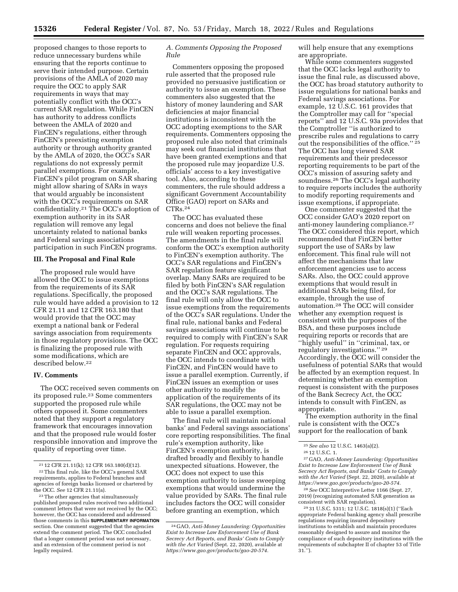proposed changes to those reports to reduce unnecessary burdens while ensuring that the reports continue to serve their intended purpose. Certain provisions of the AMLA of 2020 may require the OCC to apply SAR requirements in ways that may potentially conflict with the OCC's current SAR regulation. While FinCEN has authority to address conflicts between the AMLA of 2020 and FinCEN's regulations, either through FinCEN's preexisting exemption authority or through authority granted by the AMLA of 2020, the OCC's SAR regulations do not expressly permit parallel exemptions. For example, FinCEN's pilot program on SAR sharing might allow sharing of SARs in ways that would arguably be inconsistent with the OCC's requirements on SAR confidentiality.21 The OCC's adoption of exemption authority in its SAR regulation will remove any legal uncertainty related to national banks and Federal savings associations participation in such FinCEN programs.

# **III. The Proposal and Final Rule**

The proposed rule would have allowed the OCC to issue exemptions from the requirements of its SAR regulations. Specifically, the proposed rule would have added a provision to 12 CFR 21.11 and 12 CFR 163.180 that would provide that the OCC may exempt a national bank or Federal savings association from requirements in those regulatory provisions. The OCC is finalizing the proposed rule with some modifications, which are described below.22

### **IV. Comments**

The OCC received seven comments on its proposed rule.23 Some commenters supported the proposed rule while others opposed it. Some commenters noted that they support a regulatory framework that encourages innovation and that the proposed rule would foster responsible innovation and improve the quality of reporting over time.

23The other agencies that simultaneously published proposed rules received two additional comment letters that were not received by the OCC; however, the OCC has considered and addressed those comments in this **SUPPLEMENTARY INFORMATION** section. One comment suggested that the agencies extend the comment period. The OCC concluded that a longer comment period was not necessary, and an extension of the comment period is not legally required.

# *A. Comments Opposing the Proposed Rule*

Commenters opposing the proposed rule asserted that the proposed rule provided no persuasive justification or authority to issue an exemption. These commenters also suggested that the history of money laundering and SAR deficiencies at major financial institutions is inconsistent with the OCC adopting exemptions to the SAR requirements. Commenters opposing the proposed rule also noted that criminals may seek out financial institutions that have been granted exemptions and that the proposed rule may jeopardize U.S. officials' access to a key investigative tool. Also, according to these commenters, the rule should address a significant Government Accountability Office (GAO) report on SARs and CTRs.24

The OCC has evaluated these concerns and does not believe the final rule will weaken reporting processes. The amendments in the final rule will conform the OCC's exemption authority to FinCEN's exemption authority. The OCC's SAR regulations and FinCEN's SAR regulation feature significant overlap. Many SARs are required to be filed by both FinCEN's SAR regulation and the OCC's SAR regulations. The final rule will only allow the OCC to issue exemptions from the requirements of the OCC's SAR regulations. Under the final rule, national banks and Federal savings associations will continue to be required to comply with FinCEN's SAR regulation. For requests requiring separate FinCEN and OCC approvals, the OCC intends to coordinate with FinCEN, and FinCEN would have to issue a parallel exemption. Currently, if FinCEN issues an exemption or uses other authority to modify the application of the requirements of its SAR regulations, the OCC may not be able to issue a parallel exemption.

The final rule will maintain national banks' and Federal savings associations' core reporting responsibilities. The final rule's exemption authority, like FinCEN's exemption authority, is drafted broadly and flexibly to handle unexpected situations. However, the OCC does not expect to use this exemption authority to issue sweeping exemptions that would undermine the value provided by SARs. The final rule includes factors the OCC will consider before granting an exemption, which

will help ensure that any exemptions are appropriate.

While some commenters suggested that the OCC lacks legal authority to issue the final rule, as discussed above, the OCC has broad statutory authority to issue regulations for national banks and Federal savings associations. For example, 12 U.S.C. 161 provides that the Comptroller may call for ''special reports'' and 12 U.S.C. 93a provides that the Comptroller ''is authorized to prescribe rules and regulations to carry out the responsibilities of the office.'' 25 The OCC has long viewed SAR requirements and their predecessor reporting requirements to be part of the OCC's mission of assuring safety and soundness.<sup>26</sup> The OCC's legal authority to require reports includes the authority to modify reporting requirements and issue exemptions, if appropriate.

One commenter suggested that the OCC consider GAO's 2020 report on anti-money laundering compliance.<sup>27</sup> The OCC considered this report, which recommended that FinCEN better support the use of SARs by law enforcement. This final rule will not affect the mechanisms that law enforcement agencies use to access SARs. Also, the OCC could approve exemptions that would result in additional SARs being filed, for example, through the use of automation.28 The OCC will consider whether any exemption request is consistent with the purposes of the BSA, and these purposes include requiring reports or records that are ''highly useful'' in ''criminal, tax, or regulatory investigations.'' 29 Accordingly, the OCC will consider the usefulness of potential SARs that would be affected by an exemption request. In determining whether an exemption request is consistent with the purposes of the Bank Secrecy Act, the OCC intends to consult with FinCEN, as appropriate.

The exemption authority in the final rule is consistent with the OCC's support for the reallocation of bank

27 GAO, *Anti-Money Laundering: Opportunities Exist to Increase Law Enforcement Use of Bank Secrecy Act Reports, and Banks' Costs to Comply with the Act Varied* (Sept. 22, 2020), available at *[https://www.gao.gov/products/gao-20-574.](https://www.gao.gov/products/gao-20-574)* 

28*See* OCC Interpretive Letter 1166 (Sept. 27, 2019) (recognizing automated SAR generation as consistent with SAR regulation).

29 31 U.S.C. 5311; 12 U.S.C. 1818(s)(1) (''Each appropriate Federal banking agency shall prescribe regulations requiring insured depository institutions to establish and maintain procedures reasonably designed to assure and monitor the compliance of such depository institutions with the requirements of subchapter II of chapter 53 of Title  $31.'$ ).

<sup>21</sup> 12 CFR 21.11(k); 12 CFR 163.180(d)(12). 22This final rule, like the OCC's general SAR requirements, applies to Federal branches and agencies of foreign banks licensed or chartered by the OCC. *See* 12 CFR 21.11(a).

<sup>24</sup> GAO, *Anti-Money Laundering: Opportunities Exist to Increase Law Enforcement Use of Bank Secrecy Act Reports, and Banks' Costs to Comply with the Act Varied* (Sept. 22, 2020), available at *[https://www.gao.gov/products/gao-20-574.](https://www.gao.gov/products/gao-20-574)* 

<sup>25</sup>*See also* 12 U.S.C. 1463(a)(2).

 $^{\rm 26}$  12 U.S.C. 1.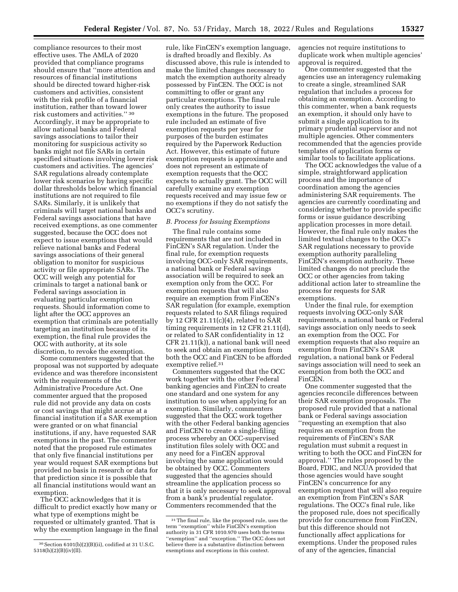compliance resources to their most effective uses. The AMLA of 2020 provided that compliance programs should ensure that ''more attention and resources of financial institutions should be directed toward higher-risk customers and activities, consistent with the risk profile of a financial institution, rather than toward lower risk customers and activities.'' 30 Accordingly, it may be appropriate to allow national banks and Federal savings associations to tailor their monitoring for suspicious activity so banks might not file SARs in certain specified situations involving lower risk customers and activities. The agencies' SAR regulations already contemplate lower risk scenarios by having specific dollar thresholds below which financial institutions are not required to file SARs. Similarly, it is unlikely that criminals will target national banks and Federal savings associations that have received exemptions, as one commenter suggested, because the OCC does not expect to issue exemptions that would relieve national banks and Federal savings associations of their general obligation to monitor for suspicious activity or file appropriate SARs. The OCC will weigh any potential for criminals to target a national bank or Federal savings association in evaluating particular exemption requests. Should information come to light after the OCC approves an exemption that criminals are potentially targeting an institution because of its exemption, the final rule provides the OCC with authority, at its sole discretion, to revoke the exemption.

Some commenters suggested that the proposal was not supported by adequate evidence and was therefore inconsistent with the requirements of the Administrative Procedure Act. One commenter argued that the proposed rule did not provide any data on costs or cost savings that might accrue at a financial institution if a SAR exemption were granted or on what financial institutions, if any, have requested SAR exemptions in the past. The commenter noted that the proposed rule estimates that only five financial institutions per year would request SAR exemptions but provided no basis in research or data for that prediction since it is possible that all financial institutions would want an exemption.

The OCC acknowledges that it is difficult to predict exactly how many or what type of exemptions might be requested or ultimately granted. That is why the exemption language in the final

rule, like FinCEN's exemption language, is drafted broadly and flexibly. As discussed above, this rule is intended to make the limited changes necessary to match the exemption authority already possessed by FinCEN. The OCC is not committing to offer or grant any particular exemptions. The final rule only creates the authority to issue exemptions in the future. The proposed rule included an estimate of five exemption requests per year for purposes of the burden estimates required by the Paperwork Reduction Act. However, this estimate of future exemption requests is approximate and does not represent an estimate of exemption requests that the OCC expects to actually grant. The OCC will carefully examine any exemption requests received and may issue few or no exemptions if they do not satisfy the OCC's scrutiny.

### *B. Process for Issuing Exemptions*

The final rule contains some requirements that are not included in FinCEN's SAR regulation. Under the final rule, for exemption requests involving OCC-only SAR requirements, a national bank or Federal savings association will be required to seek an exemption only from the OCC. For exemption requests that will also require an exemption from FinCEN's SAR regulation (for example, exemption requests related to SAR filings required by 12 CFR 21.11(c)(4), related to SAR timing requirements in 12 CFR 21.11(d), or related to SAR confidentiality in 12 CFR 21.11(k)), a national bank will need to seek and obtain an exemption from both the OCC and FinCEN to be afforded exemptive relief.31

Commenters suggested that the OCC work together with the other Federal banking agencies and FinCEN to create one standard and one system for any institution to use when applying for an exemption. Similarly, commenters suggested that the OCC work together with the other Federal banking agencies and FinCEN to create a single-filing process whereby an OCC-supervised institution files solely with OCC and any need for a FinCEN approval involving the same application would be obtained by OCC. Commenters suggested that the agencies should streamline the application process so that it is only necessary to seek approval from a bank's prudential regulator. Commenters recommended that the

agencies not require institutions to duplicate work when multiple agencies' approval is required.

One commenter suggested that the agencies use an interagency rulemaking to create a single, streamlined SAR regulation that includes a process for obtaining an exemption. According to this commenter, when a bank requests an exemption, it should only have to submit a single application to its primary prudential supervisor and not multiple agencies. Other commenters recommended that the agencies provide templates of application forms or similar tools to facilitate applications.

The OCC acknowledges the value of a simple, straightforward application process and the importance of coordination among the agencies administering SAR requirements. The agencies are currently coordinating and considering whether to provide specific forms or issue guidance describing application processes in more detail. However, the final rule only makes the limited textual changes to the OCC's SAR regulations necessary to provide exemption authority paralleling FinCEN's exemption authority. These limited changes do not preclude the OCC or other agencies from taking additional action later to streamline the process for requests for SAR exemptions.

Under the final rule, for exemption requests involving OCC-only SAR requirements, a national bank or Federal savings association only needs to seek an exemption from the OCC. For exemption requests that also require an exemption from FinCEN's SAR regulation, a national bank or Federal savings association will need to seek an exemption from both the OCC and FinCEN.

One commenter suggested that the agencies reconcile differences between their SAR exemption proposals. The proposed rule provided that a national bank or Federal savings association ''requesting an exemption that also requires an exemption from the requirements of FinCEN's SAR regulation must submit a request in writing to both the OCC and FinCEN for approval.'' The rules proposed by the Board, FDIC, and NCUA provided that those agencies would have sought FinCEN's concurrence for any exemption request that will also require an exemption from FinCEN's SAR regulations. The OCC's final rule, like the proposed rule, does not specifically provide for concurrence from FinCEN, but this difference should not functionally affect applications for exemptions. Under the proposed rules of any of the agencies, financial

<sup>30</sup>Section 6101(b)(2)(B)(ii), codified at 31 U.S.C. 5318(h)(2)(B)(iv)(II).

<sup>31</sup>The final rule, like the proposed rule, uses the term ''exemption'' while FinCEN's exemption authority in 31 CFR 1010.970 uses both the terms "exemption" and "exception." The OCC does not believe there is a substantive distinction between exemptions and exceptions in this context.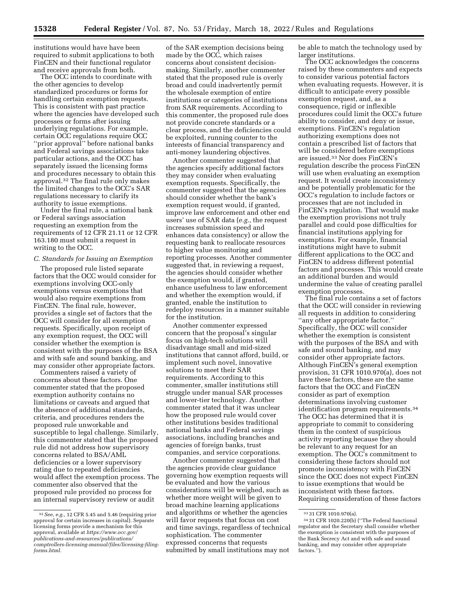institutions would have have been required to submit applications to both FinCEN and their functional regulator and receive approvals from both.

The OCC intends to coordinate with the other agencies to develop standardized procedures or forms for handling certain exemption requests. This is consistent with past practice where the agencies have developed such processes or forms after issuing underlying regulations. For example, certain OCC regulations require OCC ''prior approval'' before national banks and Federal savings associations take particular actions, and the OCC has separately issued the licensing forms and procedures necessary to obtain this approval.32 The final rule only makes the limited changes to the OCC's SAR regulations necessary to clarify its authority to issue exemptions.

Under the final rule, a national bank or Federal savings association requesting an exemption from the requirements of 12 CFR 21.11 or 12 CFR 163.180 must submit a request in writing to the OCC.

# *C. Standards for Issuing an Exemption*

The proposed rule listed separate factors that the OCC would consider for exemptions involving OCC-only exemptions versus exemptions that would also require exemptions from FinCEN. The final rule, however, provides a single set of factors that the OCC will consider for all exemption requests. Specifically, upon receipt of any exemption request, the OCC will consider whether the exemption is consistent with the purposes of the BSA and with safe and sound banking, and may consider other appropriate factors.

Commenters raised a variety of concerns about these factors. One commenter stated that the proposed exemption authority contains no limitations or caveats and argued that the absence of additional standards, criteria, and procedures renders the proposed rule unworkable and susceptible to legal challenge. Similarly, this commenter stated that the proposed rule did not address how supervisory concerns related to BSA/AML deficiencies or a lower supervisory rating due to repeated deficiencies would affect the exemption process. The commenter also observed that the proposed rule provided no process for an internal supervisory review or audit

of the SAR exemption decisions being made by the OCC, which raises concerns about consistent decisionmaking. Similarly, another commenter stated that the proposed rule is overly broad and could inadvertently permit the wholesale exemption of entire institutions or categories of institutions from SAR requirements. According to this commenter, the proposed rule does not provide concrete standards or a clear process, and the deficiencies could be exploited, running counter to the interests of financial transparency and anti-money laundering objectives.

Another commenter suggested that the agencies specify additional factors they may consider when evaluating exemption requests. Specifically, the commenter suggested that the agencies should consider whether the bank's exemption request would, if granted, improve law enforcement and other end users' use of SAR data (*e.g.,* the request increases submission speed and enhances data consistency) or allow the requesting bank to reallocate resources to higher value monitoring and reporting processes. Another commenter suggested that, in reviewing a request, the agencies should consider whether the exemption would, if granted, enhance usefulness to law enforcement and whether the exemption would, if granted, enable the institution to redeploy resources in a manner suitable for the institution.

Another commenter expressed concern that the proposal's singular focus on high-tech solutions will disadvantage small and mid-sized institutions that cannot afford, build, or implement such novel, innovative solutions to meet their SAR requirements. According to this commenter, smaller institutions still struggle under manual SAR processes and lower-tier technology. Another commenter stated that it was unclear how the proposed rule would cover other institutions besides traditional national banks and Federal savings associations, including branches and agencies of foreign banks, trust companies, and service corporations.

Another commenter suggested that the agencies provide clear guidance governing how exemption requests will be evaluated and how the various considerations will be weighed, such as whether more weight will be given to broad machine learning applications and algorithms or whether the agencies will favor requests that focus on cost and time savings, regardless of technical sophistication. The commenter expressed concerns that requests submitted by small institutions may not

be able to match the technology used by larger institutions.

The OCC acknowledges the concerns raised by these commenters and expects to consider various potential factors when evaluating requests. However, it is difficult to anticipate every possible exemption request, and, as a consequence, rigid or inflexible procedures could limit the OCC's future ability to consider, and deny or issue, exemptions. FinCEN's regulation authorizing exemptions does not contain a prescribed list of factors that will be considered before exemptions are issued.33 Nor does FinCEN's regulation describe the process FinCEN will use when evaluating an exemption request. It would create inconsistency and be potentially problematic for the OCC's regulation to include factors or processes that are not included in FinCEN's regulation. That would make the exemption provisions not truly parallel and could pose difficulties for financial institutions applying for exemptions. For example, financial institutions might have to submit different applications to the OCC and FinCEN to address different potential factors and processes. This would create an additional burden and would undermine the value of creating parallel exemption processes.

The final rule contains a set of factors that the OCC will consider in reviewing all requests in addition to considering ''any other appropriate factor.'' Specifically, the OCC will consider whether the exemption is consistent with the purposes of the BSA and with safe and sound banking, and may consider other appropriate factors. Although FinCEN's general exemption provision, 31 CFR 1010.970(a), does not have these factors, these are the same factors that the OCC and FinCEN consider as part of exemption determinations involving customer identification program requirements.<sup>34</sup> The OCC has determined that it is appropriate to commit to considering them in the context of suspicious activity reporting because they should be relevant to any request for an exemption. The OCC's commitment to considering these factors should not promote inconsistency with FinCEN since the OCC does not expect FinCEN to issue exemptions that would be inconsistent with these factors. Requiring consideration of these factors

<sup>32</sup>*See, e.g.,* 12 CFR 5.45 and 5.46 (requiring prior approval for certain increases in capital). Separate licensing forms provide a mechanism for this approval, available at *[https://www.occ.gov/](https://www.occ.gov/publications-and-resources/publications/comptrollers-licensing-manual/files/licensing-filing-forms.html)  [publications-and-resources/publications/](https://www.occ.gov/publications-and-resources/publications/comptrollers-licensing-manual/files/licensing-filing-forms.html) [comptrollers-licensing-manual/files/licensing-filing](https://www.occ.gov/publications-and-resources/publications/comptrollers-licensing-manual/files/licensing-filing-forms.html)[forms.html.](https://www.occ.gov/publications-and-resources/publications/comptrollers-licensing-manual/files/licensing-filing-forms.html)* 

<sup>33</sup> 31 CFR 1010.970(a).

<sup>34</sup> 31 CFR 1020.220(b) (''The Federal functional regulator and the Secretary shall consider whether the exemption is consistent with the purposes of the Bank Secrecy Act and with safe and sound banking, and may consider other appropriate factors.'').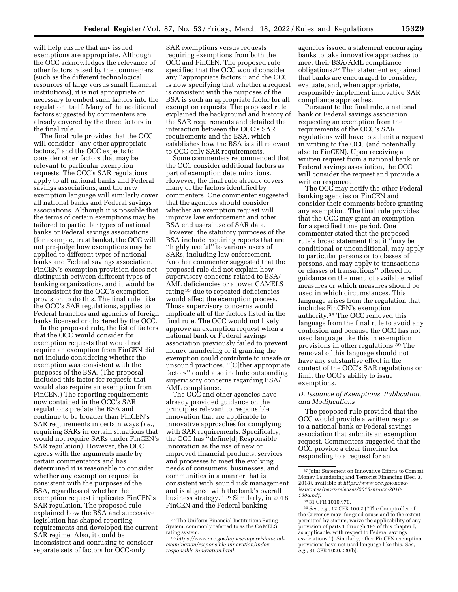will help ensure that any issued exemptions are appropriate. Although the OCC acknowledges the relevance of other factors raised by the commenters (such as the different technological resources of large versus small financial institutions), it is not appropriate or necessary to embed such factors into the regulation itself. Many of the additional factors suggested by commenters are already covered by the three factors in the final rule.

The final rule provides that the OCC will consider ''any other appropriate factors,'' and the OCC expects to consider other factors that may be relevant to particular exemption requests. The OCC's SAR regulations apply to all national banks and Federal savings associations, and the new exemption language will similarly cover all national banks and Federal savings associations. Although it is possible that the terms of certain exemptions may be tailored to particular types of national banks or Federal savings associations (for example, trust banks), the OCC will not pre-judge how exemptions may be applied to different types of national banks and Federal savings association. FinCEN's exemption provision does not distinguish between different types of banking organizations, and it would be inconsistent for the OCC's exemption provision to do this. The final rule, like the OCC's SAR regulations, applies to Federal branches and agencies of foreign banks licensed or chartered by the OCC.

In the proposed rule, the list of factors that the OCC would consider for exemption requests that would not require an exemption from FinCEN did not include considering whether the exemption was consistent with the purposes of the BSA. (The proposal included this factor for requests that would also require an exemption from FinCEN.) The reporting requirements now contained in the OCC's SAR regulations predate the BSA and continue to be broader than FinCEN's SAR requirements in certain ways (*i.e.,*  requiring SARs in certain situations that would not require SARs under FinCEN's SAR regulation). However, the OCC agrees with the arguments made by certain commentators and has determined it is reasonable to consider whether any exemption request is consistent with the purposes of the BSA, regardless of whether the exemption request implicates FinCEN's SAR regulation. The proposed rule explained how the BSA and successive legislation has shaped reporting requirements and developed the current SAR regime. Also, it could be inconsistent and confusing to consider separate sets of factors for OCC-only

SAR exemptions versus requests requiring exemptions from both the OCC and FinCEN. The proposed rule specified that the OCC would consider any ''appropriate factors,'' and the OCC is now specifying that whether a request is consistent with the purposes of the BSA is such an appropriate factor for all exemption requests. The proposed rule explained the background and history of the SAR requirements and detailed the interaction between the OCC's SAR requirements and the BSA, which establishes how the BSA is still relevant to OCC-only SAR requirements.

Some commenters recommended that the OCC consider additional factors as part of exemption determinations. However, the final rule already covers many of the factors identified by commenters. One commenter suggested that the agencies should consider whether an exemption request will improve law enforcement and other BSA end users' use of SAR data. However, the statutory purposes of the BSA include requiring reports that are ''highly useful'' to various users of SARs, including law enforcement. Another commenter suggested that the proposed rule did not explain how supervisory concerns related to BSA/ AML deficiencies or a lower CAMELS rating 35 due to repeated deficiencies would affect the exemption process. Those supervisory concerns would implicate all of the factors listed in the final rule. The OCC would not likely approve an exemption request when a national bank or Federal savings association previously failed to prevent money laundering or if granting the exemption could contribute to unsafe or unsound practices. ''[O]ther appropriate factors'' could also include outstanding supervisory concerns regarding BSA/ AML compliance.

The OCC and other agencies have already provided guidance on the principles relevant to responsible innovation that are applicable to innovative approaches for complying with SAR requirements. Specifically, the OCC has ''define[d] Responsible Innovation as the use of new or improved financial products, services and processes to meet the evolving needs of consumers, businesses, and communities in a manner that is consistent with sound risk management and is aligned with the bank's overall business strategy.'' 36 Similarly, in 2018 FinCEN and the Federal banking

agencies issued a statement encouraging banks to take innovative approaches to meet their BSA/AML compliance obligations.37 That statement explained that banks are encouraged to consider, evaluate, and, when appropriate, responsibly implement innovative SAR compliance approaches.

Pursuant to the final rule, a national bank or Federal savings association requesting an exemption from the requirements of the OCC's SAR regulations will have to submit a request in writing to the OCC (and potentially also to FinCEN). Upon receiving a written request from a national bank or Federal savings association, the OCC will consider the request and provide a written response.

The OCC may notify the other Federal banking agencies or FinCEN and consider their comments before granting any exemption. The final rule provides that the OCC may grant an exemption for a specified time period. One commenter stated that the proposed rule's broad statement that it ''may be conditional or unconditional, may apply to particular persons or to classes of persons, and may apply to transactions or classes of transactions'' offered no guidance on the menu of available relief measures or which measures should be used in which circumstances. This language arises from the regulation that includes FinCEN's exemption authority.38 The OCC removed this language from the final rule to avoid any confusion and because the OCC has not used language like this in exemption provisions in other regulations.39 The removal of this language should not have any substantive effect in the context of the OCC's SAR regulations or limit the OCC's ability to issue exemptions.

# *D. Issuance of Exemptions, Publication, and Modifications*

The proposed rule provided that the OCC would provide a written response to a national bank or Federal savings association that submits an exemption request. Commenters suggested that the OCC provide a clear timeline for responding to a request for an

<sup>35</sup>The Uniform Financial Institutions Rating System, commonly referred to as the CAMELS<br>rating system.

 $36$ [https://www.occ.gov/topics/supervision-and](https://www.occ.gov/topics/supervision-and-examination/responsible-innovation/index-responsible-innovation.htm)*[examination/responsible-innovation/index](https://www.occ.gov/topics/supervision-and-examination/responsible-innovation/index-responsible-innovation.htm)[responsible-innovation.html.](https://www.occ.gov/topics/supervision-and-examination/responsible-innovation/index-responsible-innovation.htm)* 

<sup>37</sup> Joint Statement on Innovative Efforts to Combat Money Laundering and Terrorist Financing (Dec. 3, 2018), available at *[https://www.occ.gov/news](https://www.occ.gov/news-issuances/news-releases/2018/nr-occ-2018-130a.pdf)[issuances/news-releases/2018/nr-occ-2018-](https://www.occ.gov/news-issuances/news-releases/2018/nr-occ-2018-130a.pdf) [130a.pdf.](https://www.occ.gov/news-issuances/news-releases/2018/nr-occ-2018-130a.pdf)* 

<sup>38</sup> 31 CFR 1010.970.

<sup>39</sup>*See, e.g.,* 12 CFR 100.2 (''The Comptroller of the Currency may, for good cause and to the extent permitted by statute, waive the applicability of any provision of parts 1 through 197 of this chapter I, as applicable, with respect to Federal savings associations.''). Similarly, other FinCEN exemption provisions have not used language like this. *See, e.g.,* 31 CFR 1020.220(b).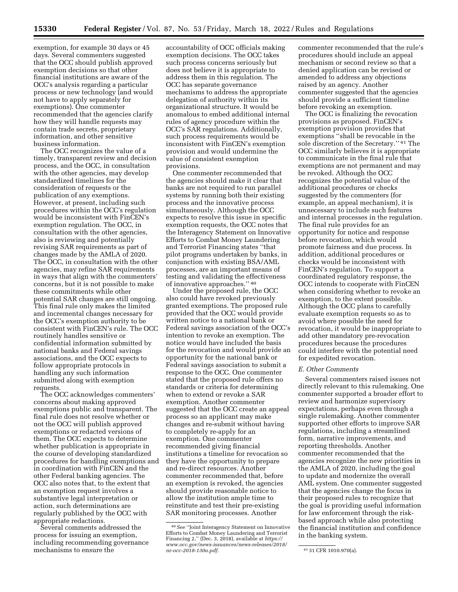exemption, for example 30 days or 45 days. Several commenters suggested that the OCC should publish approved exemption decisions so that other financial institutions are aware of the OCC's analysis regarding a particular process or new technology (and would not have to apply separately for exemptions). One commenter recommended that the agencies clarify how they will handle requests may contain trade secrets, proprietary information, and other sensitive business information.

The OCC recognizes the value of a timely, transparent review and decision process, and the OCC, in consultation with the other agencies, may develop standardized timelines for the consideration of requests or the publication of any exemptions. However, at present, including such procedures within the OCC's regulation would be inconsistent with FinCEN's exemption regulation. The OCC, in consultation with the other agencies, also is reviewing and potentially revising SAR requirements as part of changes made by the AMLA of 2020. The OCC, in consultation with the other agencies, may refine SAR requirements in ways that align with the commenters' concerns, but it is not possible to make these commitments while other potential SAR changes are still ongoing. This final rule only makes the limited and incremental changes necessary for the OCC's exemption authority to be consistent with FinCEN's rule. The OCC routinely handles sensitive or confidential information submitted by national banks and Federal savings associations, and the OCC expects to follow appropriate protocols in handling any such information submitted along with exemption requests.

The OCC acknowledges commenters' concerns about making approved exemptions public and transparent. The final rule does not resolve whether or not the OCC will publish approved exemptions or redacted versions of them. The OCC expects to determine whether publication is appropriate in the course of developing standardized procedures for handling exemptions and in coordination with FinCEN and the other Federal banking agencies. The OCC also notes that, to the extent that an exemption request involves a substantive legal interpretation or action, such determinations are regularly published by the OCC with appropriate redactions.

Several comments addressed the process for issuing an exemption, including recommending governance mechanisms to ensure the

accountability of OCC officials making exemption decisions. The OCC takes such process concerns seriously but does not believe it is appropriate to address them in this regulation. The OCC has separate governance mechanisms to address the appropriate delegation of authority within its organizational structure. It would be anomalous to embed additional internal rules of agency procedure within the OCC's SAR regulations. Additionally, such process requirements would be inconsistent with FinCEN's exemption provision and would undermine the value of consistent exemption provisions.

One commenter recommended that the agencies should make it clear that banks are not required to run parallel systems by running both their existing process and the innovative process simultaneously. Although the OCC expects to resolve this issue in specific exemption requests, the OCC notes that the Interagency Statement on Innovative Efforts to Combat Money Laundering and Terrorist Financing states ''that pilot programs undertaken by banks, in conjunction with existing BSA/AML processes, are an important means of testing and validating the effectiveness of innovative approaches.'' 40

Under the proposed rule, the OCC also could have revoked previously granted exemptions. The proposed rule provided that the OCC would provide written notice to a national bank or Federal savings association of the OCC's intention to revoke an exemption. The notice would have included the basis for the revocation and would provide an opportunity for the national bank or Federal savings association to submit a response to the OCC. One commenter stated that the proposed rule offers no standards or criteria for determining when to extend or revoke a SAR exemption. Another commenter suggested that the OCC create an appeal process so an applicant may make changes and re-submit without having to completely re-apply for an exemption. One commenter recommended giving financial institutions a timeline for revocation so they have the opportunity to prepare and re-direct resources. Another commenter recommended that, before an exemption is revoked, the agencies should provide reasonable notice to allow the institution ample time to reinstitute and test their pre-existing SAR monitoring processes. Another

commenter recommended that the rule's procedures should include an appeal mechanism or second review so that a denied application can be revised or amended to address any objections raised by an agency. Another commenter suggested that the agencies should provide a sufficient timeline before revoking an exemption.

The OCC is finalizing the revocation provisions as proposed. FinCEN's exemption provision provides that exemptions ''shall be revocable in the sole discretion of the Secretary.'' 41 The OCC similarly believes it is appropriate to communicate in the final rule that exemptions are not permanent and may be revoked. Although the OCC recognizes the potential value of the additional procedures or checks suggested by the commenters (for example, an appeal mechanism), it is unnecessary to include such features and internal processes in the regulation. The final rule provides for an opportunity for notice and response before revocation, which would promote fairness and due process. In addition, additional procedures or checks would be inconsistent with FinCEN's regulation. To support a coordinated regulatory response, the OCC intends to cooperate with FinCEN when considering whether to revoke an exemption, to the extent possible. Although the OCC plans to carefully evaluate exemption requests so as to avoid where possible the need for revocation, it would be inappropriate to add other mandatory pre-revocation procedures because the procedures could interfere with the potential need for expedited revocation.

### *E. Other Comments*

Several commenters raised issues not directly relevant to this rulemaking. One commenter supported a broader effort to review and harmonize supervisory expectations, perhaps even through a single rulemaking. Another commenter supported other efforts to improve SAR regulations, including a streamlined form, narrative improvements, and reporting thresholds. Another commenter recommended that the agencies recognize the new priorities in the AMLA of 2020, including the goal to update and modernize the overall AML system. One commenter suggested that the agencies change the focus in their proposed rules to recognize that the goal is providing useful information for law enforcement through the riskbased approach while also protecting the financial institution and confidence in the banking system.

<sup>40</sup>*See* ''Joint Interagency Statement on Innovative Efforts to Combat Money Laundering and Terrorist Financing 2,'' (Dec. 3, 2018), available at *[https://](https://www.occ.gov/news-issuances/news-releases/2018/nr-occ-2018-130a.pdf) [www.occ.gov/news-issuances/news-releases/2018/](https://www.occ.gov/news-issuances/news-releases/2018/nr-occ-2018-130a.pdf)  [nr-occ-2018-130a.pdf.](https://www.occ.gov/news-issuances/news-releases/2018/nr-occ-2018-130a.pdf)* 41 31 CFR 1010.970(a).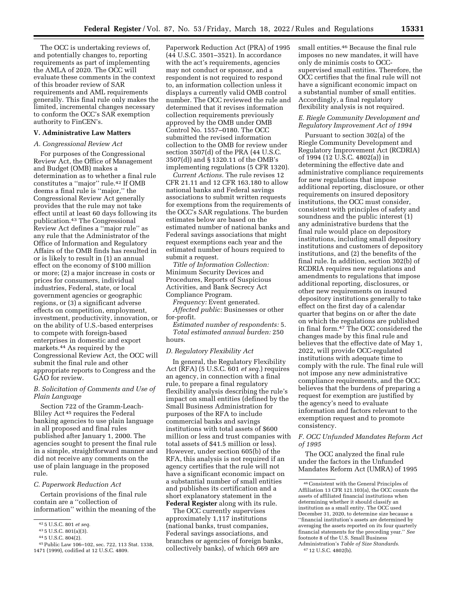The OCC is undertaking reviews of, and potentially changes to, reporting requirements as part of implementing the AMLA of 2020. The OCC will evaluate these comments in the context of this broader review of SAR requirements and AML requirements generally. This final rule only makes the limited, incremental changes necessary to conform the OCC's SAR exemption authority to FinCEN's.

# **V. Administrative Law Matters**

### *A. Congressional Review Act*

For purposes of the Congressional Review Act, the Office of Management and Budget (OMB) makes a determination as to whether a final rule constitutes a ''major'' rule.42 If OMB deems a final rule is ''major,'' the Congressional Review Act generally provides that the rule may not take effect until at least 60 days following its publication.43 The Congressional Review Act defines a ''major rule'' as any rule that the Administrator of the Office of Information and Regulatory Affairs of the OMB finds has resulted in or is likely to result in (1) an annual effect on the economy of \$100 million or more; (2) a major increase in costs or prices for consumers, individual industries, Federal, state, or local government agencies or geographic regions, or (3) a significant adverse effects on competition, employment, investment, productivity, innovation, or on the ability of U.S.-based enterprises to compete with foreign-based enterprises in domestic and export markets.44 As required by the Congressional Review Act, the OCC will submit the final rule and other appropriate reports to Congress and the GAO for review.

# *B. Solicitation of Comments and Use of Plain Language*

Section 722 of the Gramm-Leach-Bliley Act 45 requires the Federal banking agencies to use plain language in all proposed and final rules published after January 1, 2000. The agencies sought to present the final rule in a simple, straightforward manner and did not receive any comments on the use of plain language in the proposed rule.

#### *C. Paperwork Reduction Act*

Certain provisions of the final rule contain are a ''collection of information'' within the meaning of the

Paperwork Reduction Act (PRA) of 1995 (44 U.S.C. 3501–3521). In accordance with the act's requirements, agencies may not conduct or sponsor, and a respondent is not required to respond to, an information collection unless it displays a currently valid OMB control number. The OCC reviewed the rule and determined that it revises information collection requirements previously approved by the OMB under OMB Control No. 1557–0180. The OCC submitted the revised information collection to the OMB for review under section 3507(d) of the PRA (44 U.S.C. 3507(d)) and § 1320.11 of the OMB's implementing regulations (5 CFR 1320).

*Current Actions.* The rule revises 12 CFR 21.11 and 12 CFR 163.180 to allow national banks and Federal savings associations to submit written requests for exemptions from the requirements of the OCC's SAR regulations. The burden estimates below are based on the estimated number of national banks and Federal savings associations that might request exemptions each year and the estimated number of hours required to submit a request.

*Title of Information Collection:*  Minimum Security Devices and Procedures, Reports of Suspicious Activities, and Bank Secrecy Act Compliance Program.

*Frequency:* Event generated. *Affected public:* Businesses or other for-profit.

*Estimated number of respondents:* 5. *Total estimated annual burden:* 250 hours.

### *D. Regulatory Flexibility Act*

In general, the Regulatory Flexibility Act (RFA) (5 U.S.C. 601 *et seq.*) requires an agency, in connection with a final rule, to prepare a final regulatory flexibility analysis describing the rule's impact on small entities (defined by the Small Business Administration for purposes of the RFA to include commercial banks and savings institutions with total assets of \$600 million or less and trust companies with total assets of \$41.5 million or less). However, under section 605(b) of the RFA, this analysis is not required if an agency certifies that the rule will not have a significant economic impact on a substantial number of small entities and publishes its certification and a short explanatory statement in the **Federal Register** along with its rule.

The OCC currently supervises approximately 1,117 institutions (national banks, trust companies, Federal savings associations, and branches or agencies of foreign banks, collectively banks), of which 669 are

small entities.46 Because the final rule imposes no new mandates, it will have only de minimis costs to OCCsupervised small entities. Therefore, the OCC certifies that the final rule will not have a significant economic impact on a substantial number of small entities. Accordingly, a final regulatory flexibility analysis is not required.

# *E. Riegle Community Development and Regulatory Improvement Act of 1994*

Pursuant to section 302(a) of the Riegle Community Development and Regulatory Improvement Act (RCDRIA) of 1994 (12 U.S.C. 4802(a)) in determining the effective date and administrative compliance requirements for new regulations that impose additional reporting, disclosure, or other requirements on insured depository institutions, the OCC must consider, consistent with principles of safety and soundness and the public interest (1) any administrative burdens that the final rule would place on depository institutions, including small depository institutions and customers of depository institutions, and (2) the benefits of the final rule. In addition, section 302(b) of RCDRIA requires new regulations and amendments to regulations that impose additional reporting, disclosures, or other new requirements on insured depository institutions generally to take effect on the first day of a calendar quarter that begins on or after the date on which the regulations are published in final form.47 The OCC considered the changes made by this final rule and believes that the effective date of May 1, 2022, will provide OCC-regulated institutions with adequate time to comply with the rule. The final rule will not impose any new administrative compliance requirements, and the OCC believes that the burdens of preparing a request for exemption are justified by the agency's need to evaluate information and factors relevant to the exemption request and to promote consistency.

# *F. OCC Unfunded Mandates Reform Act of 1995*

The OCC analyzed the final rule under the factors in the Unfunded Mandates Reform Act (UMRA) of 1995

<sup>42</sup> 5 U.S.C. 801 *et seq.* 

<sup>43</sup> 5 U.S.C. 801(a)(3).

<sup>44</sup> 5 U.S.C. 804(2).

<sup>45</sup>Public Law 106–102, sec. 722, 113 Stat. 1338, 1471 (1999), codified at 12 U.S.C. 4809.

<sup>46</sup>Consistent with the General Principles of Affiliation 13 CFR 121.103(a), the OCC counts the assets of affiliated financial institutions when determining whether it should classify an institution as a small entity. The OCC used December 31, 2020, to determine size because a ''financial institution's assets are determined by averaging the assets reported on its four quarterly financial statements for the preceding year.'' *See*  footnote 8 of the U.S. Small Business Administration's *Table of Size Standards.* 

<sup>47</sup> 12 U.S.C. 4802(b).